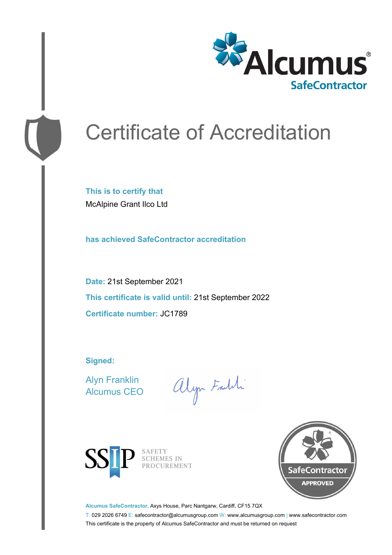

# Certificate of Accreditation

**This is to certify that** McAlpine Grant Ilco Ltd

**has achieved SafeContractor accreditation**

**Date:** 21st September 2021 **This certificate is valid until:** 21st September 2022 **Certificate number:** JC1789

**Signed:**

Alyn Franklin Alcumus CEO

alyn Faith



SAFETY<br>SCHEMES IN PROCUREMENT



**Alcumus SafeContractor,** Axys House, Parc Nantgarw, Cardiff, CF15 7QX

T: 029 2026 6749 E: safecontractor@alcumusgroup.com W: www.alcumusgroup.com | www.safecontractor.com This certificate is the property of Alcumus SafeContractor and must be returned on request